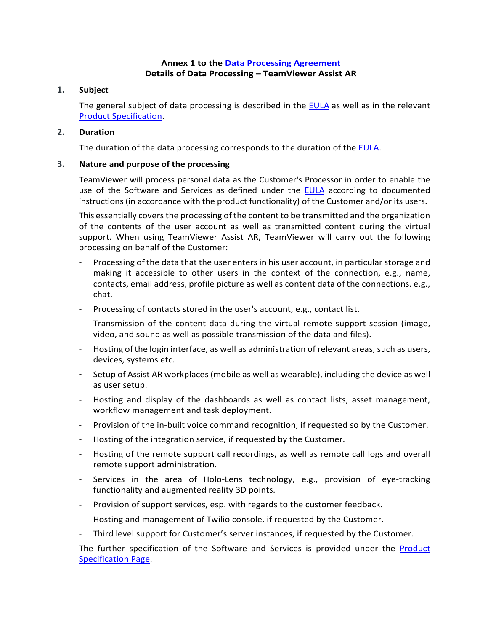## **Annex 1 to the [Data Processing Agreement](https://www.teamviewer.com/en/eula/#dpa) Details of Data Processing – TeamViewer Assist AR**

### **1. Subject**

The general subject of data processing is described in the [EULA](https://www.teamviewer.com/en/eula/#eula) as well as in the relevant [Product Specification.](https://www.teamviewer.com/en/product-descriptions/)

## **2. Duration**

The duration of the data processing corresponds to the duration of the [EULA.](https://www.teamviewer.com/en/eula/#eula)

# **3. Nature and purpose of the processing**

TeamViewer will process personal data as the Customer's Processor in order to enable the use of the Software and Services as defined under the [EULA](https://www.teamviewer.com/en/eula/#eula) according to documented instructions (in accordance with the product functionality) of the Customer and/or its users.

This essentially covers the processing of the content to be transmitted and the organization of the contents of the user account as well as transmitted content during the virtual support. When using TeamViewer Assist AR, TeamViewer will carry out the following processing on behalf of the Customer:

- Processing of the data that the user enters in his user account, in particular storage and making it accessible to other users in the context of the connection, e.g., name, contacts, email address, profile picture as well as content data of the connections. e.g., chat.
- Processing of contacts stored in the user's account, e.g., contact list.
- Transmission of the content data during the virtual remote support session (image, video, and sound as well as possible transmission of the data and files).
- Hosting of the login interface, as well as administration of relevant areas, such as users, devices, systems etc.
- Setup of Assist AR workplaces (mobile as well as wearable), including the device as well as user setup.
- Hosting and display of the dashboards as well as contact lists, asset management, workflow management and task deployment.
- Provision of the in-built voice command recognition, if requested so by the Customer.
- Hosting of the integration service, if requested by the Customer.
- Hosting of the remote support call recordings, as well as remote call logs and overall remote support administration.
- Services in the area of Holo-Lens technology, e.g., provision of eye-tracking functionality and augmented reality 3D points.
- Provision of support services, esp. with regards to the customer feedback.
- Hosting and management of Twilio console, if requested by the Customer.
- Third level support for Customer's server instances, if requested by the Customer.

The further specification of the Software and Services is provided under the Product [Specification Page.](https://www.teamviewer.com/en/product-descriptions/)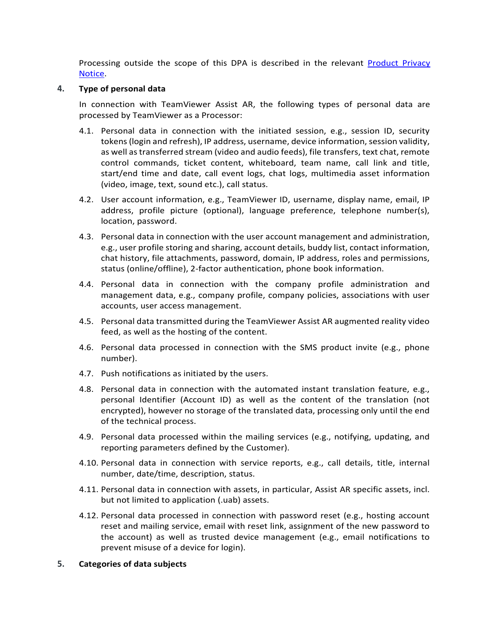Processing outside the scope of this DPA is described in the relevant [Product Privacy](https://www.teamviewer.com/en/privacy-policy/) [Notice.](https://www.teamviewer.com/en/privacy-policy/)

### **4. Type of personal data**

In connection with TeamViewer Assist AR, the following types of personal data are processed by TeamViewer as a Processor:

- 4.1. Personal data in connection with the initiated session, e.g., session ID, security tokens (login and refresh), IP address, username, device information, session validity, as well as transferred stream (video and audio feeds), file transfers, text chat, remote control commands, ticket content, whiteboard, team name, call link and title, start/end time and date, call event logs, chat logs, multimedia asset information (video, image, text, sound etc.), call status.
- 4.2. User account information, e.g., TeamViewer ID, username, display name, email, IP address, profile picture (optional), language preference, telephone number(s), location, password.
- 4.3. Personal data in connection with the user account management and administration, e.g., user profile storing and sharing, account details, buddy list, contact information, chat history, file attachments, password, domain, IP address, roles and permissions, status (online/offline), 2-factor authentication, phone book information.
- 4.4. Personal data in connection with the company profile administration and management data, e.g., company profile, company policies, associations with user accounts, user access management.
- 4.5. Personal data transmitted during the TeamViewer Assist AR augmented reality video feed, as well as the hosting of the content.
- 4.6. Personal data processed in connection with the SMS product invite (e.g., phone number).
- 4.7. Push notifications as initiated by the users.
- 4.8. Personal data in connection with the automated instant translation feature, e.g., personal Identifier (Account ID) as well as the content of the translation (not encrypted), however no storage of the translated data, processing only until the end of the technical process.
- 4.9. Personal data processed within the mailing services (e.g., notifying, updating, and reporting parameters defined by the Customer).
- 4.10. Personal data in connection with service reports, e.g., call details, title, internal number, date/time, description, status.
- 4.11. Personal data in connection with assets, in particular, Assist AR specific assets, incl. but not limited to application (.uab) assets.
- 4.12. Personal data processed in connection with password reset (e.g., hosting account reset and mailing service, email with reset link, assignment of the new password to the account) as well as trusted device management (e.g., email notifications to prevent misuse of a device for login).

### **5. Categories of data subjects**